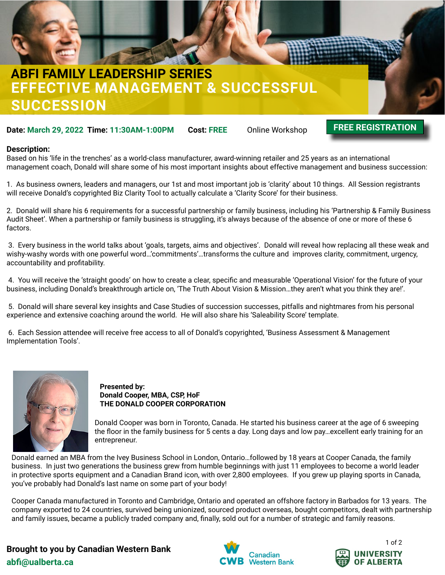

## **EFFECTIVE MANAGEMENT & SUCCESSFUL SUCCESSION ABFI FAMILY LEADERSHIP SERIES**

**Date: March 29, 2022 Time: 11:30AM-1:00PM Cost: FREE** Online Workshop

### **[FREE REGISTRATION](https://forms.gle/AU5Yn3kk9gJgaYu38)**

### **Description:**

Based on his 'life in the trenches' as a world-class manufacturer, award-winning retailer and 25 years as an international management coach, Donald will share some of his most important insights about effective management and business succession:

1. As business owners, leaders and managers, our 1st and most important job is 'clarity' about 10 things. All Session registrants will receive Donald's copyrighted Biz Clarity Tool to actually calculate a 'Clarity Score' for their business.

2. Donald will share his 6 requirements for a successful partnership or family business, including his 'Partnership & Family Business Audit Sheet'. When a partnership or family business is struggling, it's always because of the absence of one or more of these 6 factors.

 3. Every business in the world talks about 'goals, targets, aims and objectives'. Donald will reveal how replacing all these weak and wishy-washy words with one powerful word…'commitments'…transforms the culture and improves clarity, commitment, urgency, accountability and profitability.

 4. You will receive the 'straight goods' on how to create a clear, specific and measurable 'Operational Vision' for the future of your business, including Donald's breakthrough article on, 'The Truth About Vision & Mission…they aren't what you think they are!'.

 5. Donald will share several key insights and Case Studies of succession successes, pitfalls and nightmares from his personal experience and extensive coaching around the world. He will also share his 'Saleability Score' template.

 6. Each Session attendee will receive free access to all of Donald's copyrighted, 'Business Assessment & Management Implementation Tools'.



#### **Presented by: Donald Cooper, MBA, CSP, HoF THE DONALD COOPER CORPORATION**

Donald Cooper was born in Toronto, Canada. He started his business career at the age of 6 sweeping the floor in the family business for 5 cents a day. Long days and low pay…excellent early training for an entrepreneur.

Donald earned an MBA from the Ivey Business School in London, Ontario…followed by 18 years at Cooper Canada, the family business. In just two generations the business grew from humble beginnings with just 11 employees to become a world leader in protective sports equipment and a Canadian Brand icon, with over 2,800 employees. If you grew up playing sports in Canada, you've probably had Donald's last name on some part of your body!

Cooper Canada manufactured in Toronto and Cambridge, Ontario and operated an offshore factory in Barbados for 13 years. The company exported to 24 countries, survived being unionized, sourced product overseas, bought competitors, dealt with partnership and family issues, became a publicly traded company and, finally, sold out for a number of strategic and family reasons.

**abfi@ualberta.ca Brought to you by Canadian Western Bank**